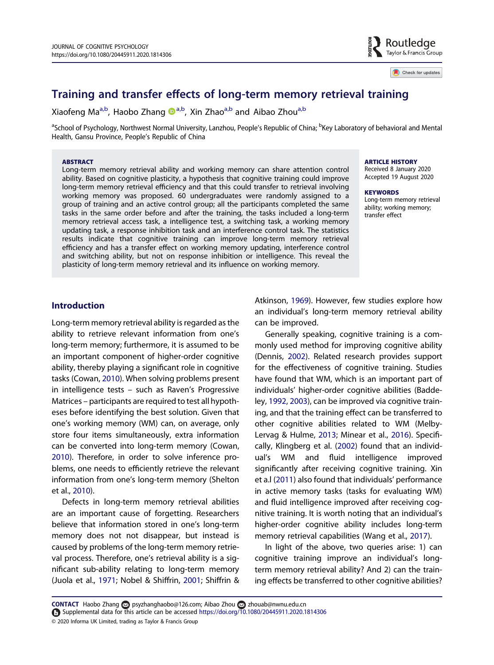# Training and transfer effects of long-term memory retrieval training

Xiaofeng Ma<sup>a,b</sup>, Haobo Zhang  $\bullet$ <sup>a,b</sup>, Xin Zhao<sup>a,b</sup> and Aibao Zhou<sup>a,b</sup>

<sup>a</sup>School of Psychology, Northwest Normal University, Lanzhou, People's Republic of China; <sup>b</sup>Key Laboratory of behavioral and Mental Health, Gansu Province, People's Republic of China

#### ABSTRACT

Long-term memory retrieval ability and working memory can share attention control ability. Based on cognitive plasticity, a hypothesis that cognitive training could improve long-term memory retrieval efficiency and that this could transfer to retrieval involving working memory was proposed. 60 undergraduates were randomly assigned to a group of training and an active control group; all the participants completed the same tasks in the same order before and after the training, the tasks included a long-term memory retrieval access task, a intelligence test, a switching task, a working memory updating task, a response inhibition task and an interference control task. The statistics results indicate that cognitive training can improve long-term memory retrieval efficiency and has a transfer effect on working memory updating, interference control and switching ability, but not on response inhibition or intelligence. This reveal the plasticity of long-term memory retrieval and its influence on working memory.

#### ARTICLE HISTORY

Received 8 January 2020 Accepted 19 August 2020

Routledge Taylor & Francis Group

Check for updates

#### **KEYWORDS**

Long-term memory retrieval ability; working memory; transfer effect

# Introduction

Long-term memory retrieval ability is regarded as the ability to retrieve relevant information from one's long-term memory; furthermore, it is assumed to be an important component of higher-order cognitive ability, thereby playing a significant role in cognitive tasks (Cowan, 2010). When solving problems present in intelligence tests – such as Raven's Progressive Matrices – participants are required to test all hypotheses before identifying the best solution. Given that one's working memory (WM) can, on average, only store four items simultaneously, extra information can be converted into long-term memory (Cowan, 2010). Therefore, in order to solve inference problems, one needs to efficiently retrieve the relevant information from one's long-term memory (Shelton et al., 2010).

Defects in long-term memory retrieval abilities are an important cause of forgetting. Researchers believe that information stored in one's long-term memory does not not disappear, but instead is caused by problems of the long-term memory retrieval process. Therefore, one's retrieval ability is a significant sub-ability relating to long-term memory (Juola et al., 1971; Nobel & Shiffrin, 2001; Shiffrin &

Atkinson, 1969). However, few studies explore how an individual's long-term memory retrieval ability can be improved.

Generally speaking, cognitive training is a commonly used method for improving cognitive ability (Dennis, 2002). Related research provides support for the effectiveness of cognitive training. Studies have found that WM, which is an important part of individuals' higher-order cognitive abilities (Baddeley, 1992, 2003), can be improved via cognitive training, and that the training effect can be transferred to other cognitive abilities related to WM (Melby-Lervag & Hulme, 2013; Minear et al., 2016). Specifically, Klingberg et al. (2002) found that an individual's WM and fluid intelligence improved significantly after receiving cognitive training. Xin et a.l (2011) also found that individuals' performance in active memory tasks (tasks for evaluating WM) and fluid intelligence improved after receiving cognitive training. It is worth noting that an individual's higher-order cognitive ability includes long-term memory retrieval capabilities (Wang et al., 2017).

In light of the above, two queries arise: 1) can cognitive training improve an individual's longterm memory retrieval ability? And 2) can the training effects be transferred to other cognitive abilities?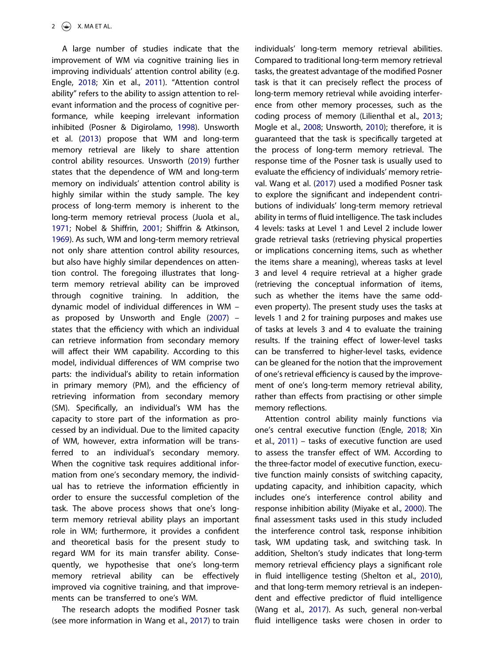A large number of studies indicate that the improvement of WM via cognitive training lies in improving individuals' attention control ability (e.g. Engle, 2018; Xin et al., 2011). "Attention control ability" refers to the ability to assign attention to relevant information and the process of cognitive performance, while keeping irrelevant information inhibited (Posner & Digirolamo, 1998). Unsworth et al. (2013) propose that WM and long-term memory retrieval are likely to share attention control ability resources. Unsworth (2019) further states that the dependence of WM and long-term memory on individuals' attention control ability is highly similar within the study sample. The key process of long-term memory is inherent to the long-term memory retrieval process (Juola et al., 1971; Nobel & Shiffrin, 2001; Shiffrin & Atkinson, 1969). As such, WM and long-term memory retrieval not only share attention control ability resources, but also have highly similar dependences on attention control. The foregoing illustrates that longterm memory retrieval ability can be improved through cognitive training. In addition, the dynamic model of individual differences in WM – as proposed by Unsworth and Engle (2007) – states that the efficiency with which an individual can retrieve information from secondary memory will affect their WM capability. According to this model, individual differences of WM comprise two parts: the individual's ability to retain information in primary memory (PM), and the efficiency of retrieving information from secondary memory (SM). Specifically, an individual's WM has the capacity to store part of the information as processed by an individual. Due to the limited capacity of WM, however, extra information will be transferred to an individual's secondary memory. When the cognitive task requires additional information from one's secondary memory, the individual has to retrieve the information efficiently in order to ensure the successful completion of the task. The above process shows that one's longterm memory retrieval ability plays an important role in WM; furthermore, it provides a confident and theoretical basis for the present study to regard WM for its main transfer ability. Consequently, we hypothesise that one's long-term memory retrieval ability can be effectively improved via cognitive training, and that improvements can be transferred to one's WM.

The research adopts the modified Posner task (see more information in Wang et al., 2017) to train

individuals' long-term memory retrieval abilities. Compared to traditional long-term memory retrieval tasks, the greatest advantage of the modified Posner task is that it can precisely reflect the process of long-term memory retrieval while avoiding interference from other memory processes, such as the coding process of memory (Lilienthal et al., 2013; Mogle et al., 2008; Unsworth, 2010); therefore, it is guaranteed that the task is specifically targeted at the process of long-term memory retrieval. The response time of the Posner task is usually used to evaluate the efficiency of individuals' memory retrieval. Wang et al. (2017) used a modified Posner task to explore the significant and independent contributions of individuals' long-term memory retrieval ability in terms of fluid intelligence. The task includes 4 levels: tasks at Level 1 and Level 2 include lower grade retrieval tasks (retrieving physical properties or implications concerning items, such as whether the items share a meaning), whereas tasks at level 3 and level 4 require retrieval at a higher grade (retrieving the conceptual information of items, such as whether the items have the same oddeven property). The present study uses the tasks at levels 1 and 2 for training purposes and makes use of tasks at levels 3 and 4 to evaluate the training results. If the training effect of lower-level tasks can be transferred to higher-level tasks, evidence can be gleaned for the notion that the improvement of one's retrieval efficiency is caused by the improvement of one's long-term memory retrieval ability, rather than effects from practising or other simple memory reflections.

Attention control ability mainly functions via one's central executive function (Engle, 2018; Xin et al., 2011) – tasks of executive function are used to assess the transfer effect of WM. According to the three-factor model of executive function, executive function mainly consists of switching capacity, updating capacity, and inhibition capacity, which includes one's interference control ability and response inhibition ability (Miyake et al., 2000). The final assessment tasks used in this study included the interference control task, response inhibition task, WM updating task, and switching task. In addition, Shelton's study indicates that long-term memory retrieval efficiency plays a significant role in fluid intelligence testing (Shelton et al., 2010), and that long-term memory retrieval is an independent and effective predictor of fluid intelligence (Wang et al., 2017). As such, general non-verbal fluid intelligence tasks were chosen in order to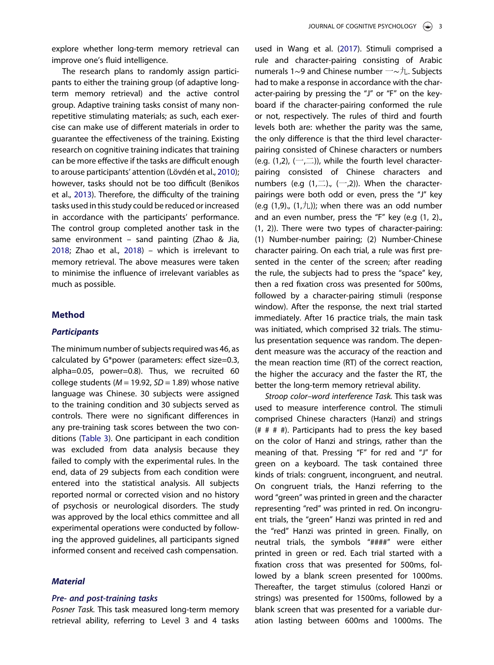explore whether long-term memory retrieval can improve one's fluid intelligence.

The research plans to randomly assign participants to either the training group (of adaptive longterm memory retrieval) and the active control group. Adaptive training tasks consist of many nonrepetitive stimulating materials; as such, each exercise can make use of different materials in order to guarantee the effectiveness of the training. Existing research on cognitive training indicates that training can be more effective if the tasks are difficult enough to arouse participants' attention (Lövdén et al., 2010); however, tasks should not be too difficult (Benikos et al., 2013). Therefore, the difficulty of the training tasks used in this study could be reduced or increased in accordance with the participants' performance. The control group completed another task in the same environment – sand painting (Zhao & Jia, 2018; Zhao et al., 2018) – which is irrelevant to memory retrieval. The above measures were taken to minimise the influence of irrelevant variables as much as possible.

#### Method

#### **Participants**

The minimum number of subjects required was 46, as calculated by G\*power (parameters: effect size=0.3, alpha=0.05, power=0.8). Thus, we recruited 60 college students (*M* = 19.92, *SD* = 1.89) whose native language was Chinese. 30 subjects were assigned to the training condition and 30 subjects served as controls. There were no significant differences in any pre-training task scores between the two conditions (Table 3). One participant in each condition was excluded from data analysis because they failed to comply with the experimental rules. In the end, data of 29 subjects from each condition were entered into the statistical analysis. All subjects reported normal or corrected vision and no history of psychosis or neurological disorders. The study was approved by the local ethics committee and all experimental operations were conducted by following the approved guidelines, all participants signed informed consent and received cash compensation.

# **Material**

# Pre- and post-training tasks

*Posner Task.* This task measured long-term memory retrieval ability, referring to Level 3 and 4 tasks

used in Wang et al. (2017). Stimuli comprised a rule and character-pairing consisting of Arabic numerals 1∼9 and Chinese number 一∼九. Subjects had to make a response in accordance with the character-pairing by pressing the "J" or "F" on the keyboard if the character-pairing conformed the rule or not, respectively. The rules of third and fourth levels both are: whether the parity was the same, the only difference is that the third level characterpairing consisted of Chinese characters or numbers (e.g.  $(1,2)$ ,  $(-,\square)$ ), while the fourth level characterpairing consisted of Chinese characters and numbers (e.g  $(1,\square)$ ,  $(-,2)$ ). When the characterpairings were both odd or even, press the "J" key (e.g (1,9)., (1, $\pm$ 1)); when there was an odd number and an even number, press the "F" key (e.g (1, 2)., (1, 2)). There were two types of character-pairing: (1) Number-number pairing; (2) Number-Chinese character pairing. On each trial, a rule was first presented in the center of the screen; after reading the rule, the subjects had to press the "space" key, then a red fixation cross was presented for 500ms, followed by a character-pairing stimuli (response window). After the response, the next trial started immediately. After 16 practice trials, the main task was initiated, which comprised 32 trials. The stimulus presentation sequence was random. The dependent measure was the accuracy of the reaction and the mean reaction time (RT) of the correct reaction, the higher the accuracy and the faster the RT, the better the long-term memory retrieval ability.

*Stroop color*–*word interference Task.* This task was used to measure interference control. The stimuli comprised Chinese characters (Hanzi) and strings (# # # #). Participants had to press the key based on the color of Hanzi and strings, rather than the meaning of that. Pressing "F" for red and "J" for green on a keyboard. The task contained three kinds of trials: congruent, incongruent, and neutral. On congruent trials, the Hanzi referring to the word "green" was printed in green and the character representing "red" was printed in red. On incongruent trials, the "green" Hanzi was printed in red and the "red" Hanzi was printed in green. Finally, on neutral trials, the symbols "####" were either printed in green or red. Each trial started with a fixation cross that was presented for 500ms, followed by a blank screen presented for 1000ms. Thereafter, the target stimulus (colored Hanzi or strings) was presented for 1500ms, followed by a blank screen that was presented for a variable duration lasting between 600ms and 1000ms. The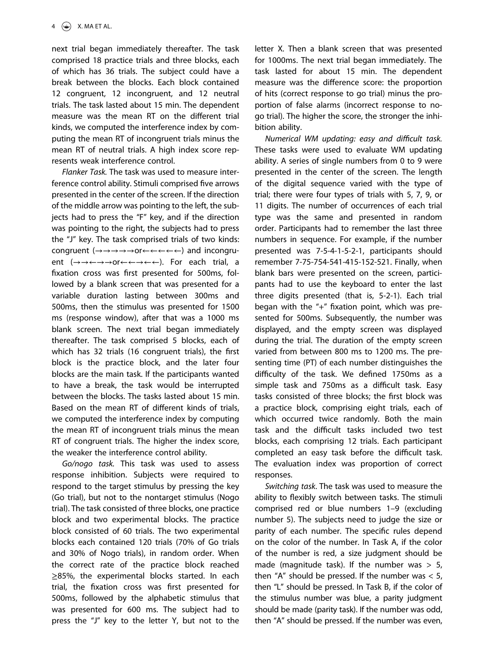next trial began immediately thereafter. The task comprised 18 practice trials and three blocks, each of which has 36 trials. The subject could have a break between the blocks. Each block contained 12 congruent, 12 incongruent, and 12 neutral trials. The task lasted about 15 min. The dependent measure was the mean RT on the different trial kinds, we computed the interference index by computing the mean RT of incongruent trials minus the mean RT of neutral trials. A high index score represents weak interference control.

*Flanker Task.* The task was used to measure interference control ability. Stimuli comprised five arrows presented in the center of the screen. If the direction of the middle arrow was pointing to the left, the subjects had to press the "F" key, and if the direction was pointing to the right, the subjects had to press the "J" key. The task comprised trials of two kinds: congruent (→→→→→or←←←←←) and incongruent (→→←→→or←←→←←). For each trial, a fixation cross was first presented for 500ms, followed by a blank screen that was presented for a variable duration lasting between 300ms and 500ms, then the stimulus was presented for 1500 ms (response window), after that was a 1000 ms blank screen. The next trial began immediately thereafter. The task comprised 5 blocks, each of which has 32 trials (16 congruent trials), the first block is the practice block, and the later four blocks are the main task. If the participants wanted to have a break, the task would be interrupted between the blocks. The tasks lasted about 15 min. Based on the mean RT of different kinds of trials, we computed the interference index by computing the mean RT of incongruent trials minus the mean RT of congruent trials. The higher the index score, the weaker the interference control ability.

*Go/nogo task.* This task was used to assess response inhibition. Subjects were required to respond to the target stimulus by pressing the key (Go trial), but not to the nontarget stimulus (Nogo trial). The task consisted of three blocks, one practice block and two experimental blocks. The practice block consisted of 60 trials. The two experimental blocks each contained 120 trials (70% of Go trials and 30% of Nogo trials), in random order. When the correct rate of the practice block reached ≥85%, the experimental blocks started. In each trial, the fixation cross was first presented for 500ms, followed by the alphabetic stimulus that was presented for 600 ms. The subject had to press the "J" key to the letter Y, but not to the letter X. Then a blank screen that was presented for 1000ms. The next trial began immediately. The task lasted for about 15 min. The dependent measure was the difference score: the proportion of hits (correct response to go trial) minus the proportion of false alarms (incorrect response to nogo trial). The higher the score, the stronger the inhibition ability.

*Numerical WM updating: easy and di*ffi*cult task.* These tasks were used to evaluate WM updating ability. A series of single numbers from 0 to 9 were presented in the center of the screen. The length of the digital sequence varied with the type of trial; there were four types of trials with 5, 7, 9, or 11 digits. The number of occurrences of each trial type was the same and presented in random order. Participants had to remember the last three numbers in sequence. For example, if the number presented was 7-5-4-1-5-2-1, participants should remember 7-75-754-541-415-152-521. Finally, when blank bars were presented on the screen, participants had to use the keyboard to enter the last three digits presented (that is, 5-2-1). Each trial began with the "+" fixation point, which was presented for 500ms. Subsequently, the number was displayed, and the empty screen was displayed during the trial. The duration of the empty screen varied from between 800 ms to 1200 ms. The presenting time (PT) of each number distinguishes the difficulty of the task. We defined 1750ms as a simple task and 750ms as a difficult task. Easy tasks consisted of three blocks; the first block was a practice block, comprising eight trials, each of which occurred twice randomly. Both the main task and the difficult tasks included two test blocks, each comprising 12 trials. Each participant completed an easy task before the difficult task. The evaluation index was proportion of correct responses.

*Switching task*. The task was used to measure the ability to flexibly switch between tasks. The stimuli comprised red or blue numbers 1–9 (excluding number 5). The subjects need to judge the size or parity of each number. The specific rules depend on the color of the number. In Task A, if the color of the number is red, a size judgment should be made (magnitude task). If the number was  $> 5$ , then "A" should be pressed. If the number was  $< 5$ , then "L" should be pressed. In Task B, if the color of the stimulus number was blue, a parity judgment should be made (parity task). If the number was odd, then "A" should be pressed. If the number was even,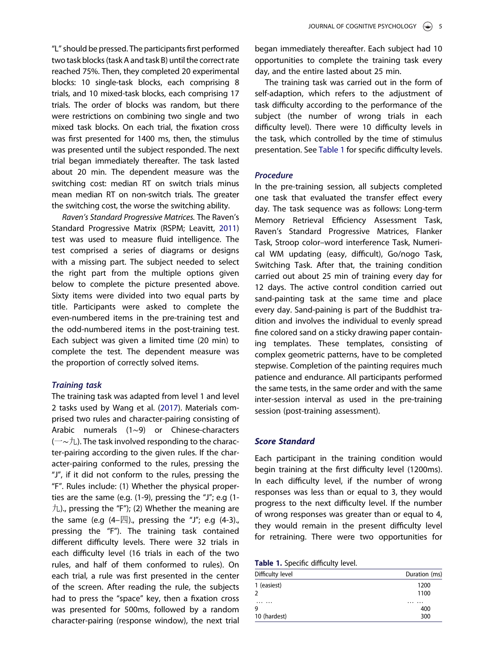"L"should be pressed. The participants first performed two task blocks (task A and task B) until the correct rate reached 75%. Then, they completed 20 experimental blocks: 10 single-task blocks, each comprising 8 trials, and 10 mixed-task blocks, each comprising 17 trials. The order of blocks was random, but there were restrictions on combining two single and two mixed task blocks. On each trial, the fixation cross was first presented for 1400 ms, then, the stimulus was presented until the subject responded. The next trial began immediately thereafter. The task lasted about 20 min. The dependent measure was the switching cost: median RT on switch trials minus mean median RT on non-switch trials. The greater the switching cost, the worse the switching ability.

*Raven*'*s Standard Progressive Matrices.* The Raven's Standard Progressive Matrix (RSPM; Leavitt, 2011) test was used to measure fluid intelligence. The test comprised a series of diagrams or designs with a missing part. The subject needed to select the right part from the multiple options given below to complete the picture presented above. Sixty items were divided into two equal parts by title. Participants were asked to complete the even-numbered items in the pre-training test and the odd-numbered items in the post-training test. Each subject was given a limited time (20 min) to complete the test. The dependent measure was the proportion of correctly solved items.

#### Training task

The training task was adapted from level 1 and level 2 tasks used by Wang et al. (2017). Materials comprised two rules and character-pairing consisting of Arabic numerals (1∼9) or Chinese-characters (一∼九). The task involved responding to the character-pairing according to the given rules. If the character-pairing conformed to the rules, pressing the "J", if it did not conform to the rules, pressing the "F". Rules include: (1) Whether the physical properties are the same (e.g. (1-9), pressing the "J"; e.g (1-  $\pm$ )., pressing the "F"); (2) Whether the meaning are the same (e.g  $(4-\mathbb{Z})$ ., pressing the "J"; e.g  $(4-3)$ ., pressing the "F"). The training task contained different difficulty levels. There were 32 trials in each difficulty level (16 trials in each of the two rules, and half of them conformed to rules). On each trial, a rule was first presented in the center of the screen. After reading the rule, the subjects had to press the "space" key, then a fixation cross was presented for 500ms, followed by a random character-pairing (response window), the next trial

began immediately thereafter. Each subject had 10 opportunities to complete the training task every day, and the entire lasted about 25 min.

The training task was carried out in the form of self-adaption, which refers to the adjustment of task difficulty according to the performance of the subject (the number of wrong trials in each difficulty level). There were 10 difficulty levels in the task, which controlled by the time of stimulus presentation. See Table 1 for specific difficulty levels.

#### Procedure

In the pre-training session, all subjects completed one task that evaluated the transfer effect every day. The task sequence was as follows: Long-term Memory Retrieval Efficiency Assessment Task, Raven's Standard Progressive Matrices, Flanker Task, Stroop color–word interference Task, Numerical WM updating (easy, difficult), Go/nogo Task, Switching Task. After that, the training condition carried out about 25 min of training every day for 12 days. The active control condition carried out sand-painting task at the same time and place every day. Sand-paining is part of the Buddhist tradition and involves the individual to evenly spread fine colored sand on a sticky drawing paper containing templates. These templates, consisting of complex geometric patterns, have to be completed stepwise. Completion of the painting requires much patience and endurance. All participants performed the same tests, in the same order and with the same inter-session interval as used in the pre-training session (post-training assessment).

# Score Standard

Each participant in the training condition would begin training at the first difficulty level (1200ms). In each difficulty level, if the number of wrong responses was less than or equal to 3, they would progress to the next difficulty level. If the number of wrong responses was greater than or equal to 4, they would remain in the present difficulty level for retraining. There were two opportunities for

|  | Table 1. Specific difficulty level. |  |
|--|-------------------------------------|--|
|  |                                     |  |

| Difficulty level  | Duration (ms) |
|-------------------|---------------|
| 1 (easiest)       | 1200          |
| 2                 | 1100          |
| $\cdot\cdot\cdot$ | .<br>$\cdots$ |
| 9                 | 400           |
| 10 (hardest)      | 300           |
|                   |               |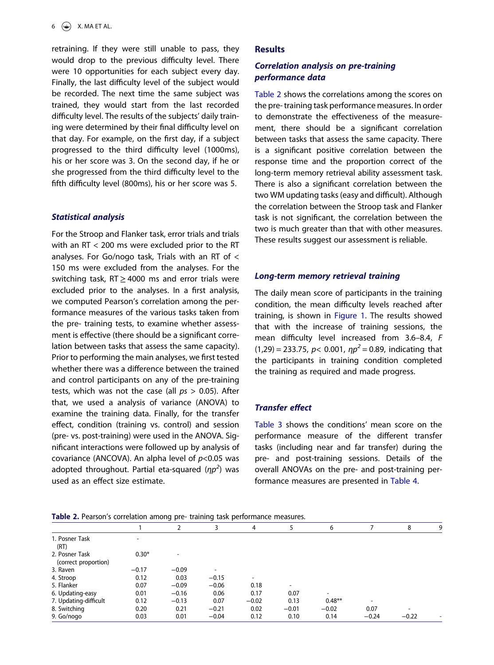retraining. If they were still unable to pass, they would drop to the previous difficulty level. There were 10 opportunities for each subject every day. Finally, the last difficulty level of the subject would be recorded. The next time the same subject was trained, they would start from the last recorded difficulty level. The results of the subjects' daily training were determined by their final difficulty level on that day. For example, on the first day, if a subject progressed to the third difficulty level (1000ms), his or her score was 3. On the second day, if he or she progressed from the third difficulty level to the fifth difficulty level (800ms), his or her score was 5.

## Statistical analysis

For the Stroop and Flanker task, error trials and trials with an RT < 200 ms were excluded prior to the RT analyses. For Go/nogo task, Trials with an RT of < 150 ms were excluded from the analyses. For the switching task,  $RT \ge 4000$  ms and error trials were excluded prior to the analyses. In a first analysis, we computed Pearson's correlation among the performance measures of the various tasks taken from the pre- training tests, to examine whether assessment is effective (there should be a significant correlation between tasks that assess the same capacity). Prior to performing the main analyses, we first tested whether there was a difference between the trained and control participants on any of the pre-training tests, which was not the case (all *ps* > 0.05). After that, we used a analysis of variance (ANOVA) to examine the training data. Finally, for the transfer effect, condition (training vs. control) and session (pre- vs. post-training) were used in the ANOVA. Significant interactions were followed up by analysis of covariance (ANCOVA). An alpha level of *p*<0.05 was adopted throughout. Partial eta-squared (η*p*<sup>2</sup>) was used as an effect size estimate.

# **Results**

# Correlation analysis on pre-training performance data

Table 2 shows the correlations among the scores on the pre- training task performance measures. In order to demonstrate the effectiveness of the measurement, there should be a significant correlation between tasks that assess the same capacity. There is a significant positive correlation between the response time and the proportion correct of the long-term memory retrieval ability assessment task. There is also a significant correlation between the two WM updating tasks (easy and difficult). Although the correlation between the Stroop task and Flanker task is not significant, the correlation between the two is much greater than that with other measures. These results suggest our assessment is reliable.

## Long-term memory retrieval training

The daily mean score of participants in the training condition, the mean difficulty levels reached after training, is shown in Figure 1. The results showed that with the increase of training sessions, the mean difficulty level increased from 3.6–8.4, *F*  $(1,29) = 233.75$ ,  $p < 0.001$ ,  $np^2 = 0.89$ , indicating that the participants in training condition completed the training as required and made progress.

# Transfer effect

Table 3 shows the conditions' mean score on the performance measure of the different transfer tasks (including near and far transfer) during the pre- and post-training sessions. Details of the overall ANOVAs on the pre- and post-training performance measures are presented in Table 4.

#### Table 2. Pearson's correlation among pre- training task performance measures.

|                                        |                          |         |                          | 4       |                          | 6        |         | 8                        | 9 |
|----------------------------------------|--------------------------|---------|--------------------------|---------|--------------------------|----------|---------|--------------------------|---|
| 1. Posner Task<br>(RT)                 | $\overline{\phantom{a}}$ |         |                          |         |                          |          |         |                          |   |
| 2. Posner Task<br>(correct proportion) | $0.30*$                  | -       |                          |         |                          |          |         |                          |   |
| 3. Raven                               | $-0.17$                  | $-0.09$ | $\overline{\phantom{a}}$ |         |                          |          |         |                          |   |
| 4. Stroop                              | 0.12                     | 0.03    | $-0.15$                  | -       |                          |          |         |                          |   |
| 5. Flanker                             | 0.07                     | $-0.09$ | $-0.06$                  | 0.18    | $\overline{\phantom{a}}$ |          |         |                          |   |
| 6. Updating-easy                       | 0.01                     | $-0.16$ | 0.06                     | 0.17    | 0.07                     |          |         |                          |   |
| 7. Updating-difficult                  | 0.12                     | $-0.13$ | 0.07                     | $-0.02$ | 0.13                     | $0.48**$ |         |                          |   |
| 8. Switching                           | 0.20                     | 0.21    | $-0.21$                  | 0.02    | $-0.01$                  | $-0.02$  | 0.07    | $\overline{\phantom{a}}$ |   |
| 9. Go/nogo                             | 0.03                     | 0.01    | $-0.04$                  | 0.12    | 0.10                     | 0.14     | $-0.24$ | $-0.22$                  |   |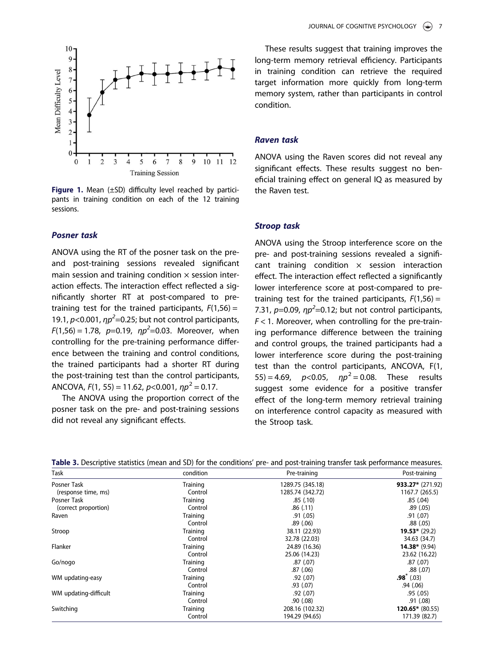

Figure 1. Mean  $(\pm SD)$  difficulty level reached by participants in training condition on each of the 12 training sessions.

## Posner task

ANOVA using the RT of the posner task on the preand post-training sessions revealed significant main session and training condition  $\times$  session interaction effects. The interaction effect reflected a significantly shorter RT at post-compared to pretraining test for the trained participants,  $F(1,56) =$ 19.1, *p*<0.001, η*p 2* =0.25; but not control participants,  $F(1,56) = 1.78$ ,  $p=0.19$ ,  $np^2=0.03$ . Moreover, when controlling for the pre-training performance difference between the training and control conditions, the trained participants had a shorter RT during the post-training test than the control participants, ANCOVA, *F*(1, 55) = 11.62, *p*<0.001, η*p* 2 = 0.17.

The ANOVA using the proportion correct of the posner task on the pre- and post-training sessions did not reveal any significant effects.

These results suggest that training improves the long-term memory retrieval efficiency. Participants in training condition can retrieve the required target information more quickly from long-term memory system, rather than participants in control condition.

## Raven task

ANOVA using the Raven scores did not reveal any significant effects. These results suggest no beneficial training effect on general IQ as measured by the Raven test.

# Stroop task

ANOVA using the Stroop interference score on the pre- and post-training sessions revealed a significant training condition  $\times$  session interaction effect. The interaction effect reflected a significantly lower interference score at post-compared to pretraining test for the trained participants, *F*(1,56) = 7.31,  $p=0.09$ ,  $\eta p^2=0.12$ ; but not control participants,  $F$  < 1. Moreover, when controlling for the pre-training performance difference between the training and control groups, the trained participants had a lower interference score during the post-training test than the control participants, ANCOVA, F(1,  $(55) = 4.69, p < 0.05,$  $np^2 = 0.08$ . These results suggest some evidence for a positive transfer effect of the long-term memory retrieval training on interference control capacity as measured with the Stroop task.

| Task                  | condition | Pre-training     | Post-training     |
|-----------------------|-----------|------------------|-------------------|
| Posner Task           | Training  | 1289.75 (345.18) | 933.27* (271.92)  |
| (response time, ms)   | Control   | 1285.74 (342.72) | 1167.7 (265.5)    |
| Posner Task           | Training  | .85(.10)         | .85(.04)          |
| (correct proportion)  | Control   | .86(.11)         | .89(.05)          |
| Raven                 | Training  | .91(0.05)        | .91(.07)          |
|                       | Control   | .89(.06)         | .88(.05)          |
| Stroop                | Training  | 38.11 (22.93)    | $19.53* (29.2)$   |
|                       | Control   | 32.78 (22.03)    | 34.63 (34.7)      |
| Flanker               | Training  | 24.89 (16.36)    | $14.38* (9.94)$   |
|                       | Control   | 25.06 (14.23)    | 23.62 (16.22)     |
| Go/nogo               | Training  | .87(.07)         | .87(0.07)         |
|                       | Control   | .87(0.06)        | .88(.07)          |
| WM updating-easy      | Training  | .92(.07)         | $.98^*$ (.03)     |
|                       | Control   | .93(0.07)        | .94(.06)          |
| WM updating-difficult | Training  | .92(.07)         | .95(.05)          |
|                       | Control   | .90(0.08)        | .91(.08)          |
| Switching             | Training  | 208.16 (102.32)  | $120.65* (80.55)$ |
|                       | Control   | 194.29 (94.65)   | 171.39 (82.7)     |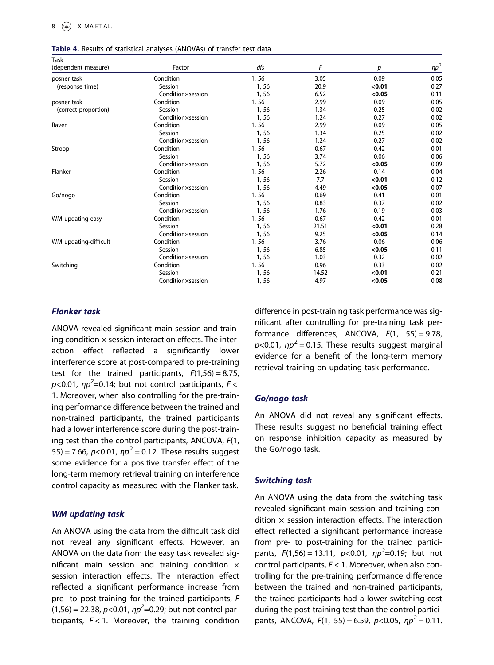#### Table 4. Results of statistical analyses (ANOVAs) of transfer test data.

| Task                  |                   |      |       |                                                                                                                              |            |
|-----------------------|-------------------|------|-------|------------------------------------------------------------------------------------------------------------------------------|------------|
| (dependent measure)   | Factor            | dfs  | F     | р                                                                                                                            | $\eta p^2$ |
| posner task           | Condition         | 1,56 | 3.05  | 0.09                                                                                                                         | 0.05       |
| (response time)       | Session           | 1,56 | 20.9  | < 0.01                                                                                                                       | 0.27       |
|                       | Conditionxsession | 1,56 | 6.52  | < 0.05                                                                                                                       | 0.11       |
| posner task           | Condition         | 1,56 | 2.99  | 0.09                                                                                                                         | 0.05       |
| (correct proportion)  | Session           | 1,56 | 1.34  | 0.25                                                                                                                         | 0.02       |
|                       | Condition×session | 1,56 | 1.24  | 0.27<br>0.09<br>0.25<br>0.27<br>0.42<br>0.06<br>< 0.05<br>0.14<br>< 0.01<br>< 0.05<br>0.41<br>0.37<br>0.19<br>0.42<br>< 0.01 | 0.02       |
| Raven                 | Condition         | 1,56 | 2.99  |                                                                                                                              | 0.05       |
|                       | Session           | 1,56 | 1.34  |                                                                                                                              | 0.02       |
|                       | Conditionxsession | 1,56 | 1.24  |                                                                                                                              | 0.02       |
| Stroop                | Condition         | 1,56 | 0.67  |                                                                                                                              | 0.01       |
|                       | Session           | 1,56 | 3.74  |                                                                                                                              | 0.06       |
|                       | Conditionxsession | 1,56 | 5.72  |                                                                                                                              | 0.09       |
| Flanker               | Condition         | 1,56 | 2.26  |                                                                                                                              | 0.04       |
|                       | Session           | 1,56 | 7.7   |                                                                                                                              | 0.12       |
|                       | Condition×session | 1,56 | 4.49  |                                                                                                                              | 0.07       |
| Go/nogo               | Condition         | 1,56 | 0.69  |                                                                                                                              | 0.01       |
|                       | Session           | 1,56 | 0.83  |                                                                                                                              | 0.02       |
|                       | Conditionxsession | 1,56 | 1.76  | < 0.05<br>0.06<br>< 0.05<br>0.32<br>0.33<br>< 0.01<br>< 0.05                                                                 | 0.03       |
| WM updating-easy      | Condition         | 1,56 | 0.67  |                                                                                                                              | 0.01       |
|                       | Session           | 1,56 | 21.51 |                                                                                                                              | 0.28       |
|                       | Condition×session | 1,56 | 9.25  |                                                                                                                              | 0.14       |
| WM updating-difficult | Condition         | 1,56 | 3.76  |                                                                                                                              | 0.06       |
|                       | Session           | 1,56 | 6.85  |                                                                                                                              | 0.11       |
|                       | Condition×session | 1,56 | 1.03  |                                                                                                                              | 0.02       |
| Switching             | Condition         | 1,56 | 0.96  |                                                                                                                              | 0.02       |
|                       | Session           | 1,56 | 14.52 |                                                                                                                              | 0.21       |
|                       | Condition×session | 1,56 | 4.97  |                                                                                                                              | 0.08       |

# Flanker task

ANOVA revealed significant main session and training condition  $\times$  session interaction effects. The interaction effect reflected a significantly lower interference score at post-compared to pre-training test for the trained participants,  $F(1,56) = 8.75$ , *p*<0.01, η*p 2* =0.14; but not control participants, *F* < 1. Moreover, when also controlling for the pre-training performance difference between the trained and non-trained participants, the trained participants had a lower interference score during the post-training test than the control participants, ANCOVA, *F*(1, 55) = 7.66,  $p<$  0.01,  $np^2$  = 0.12. These results suggest some evidence for a positive transfer effect of the long-term memory retrieval training on interference control capacity as measured with the Flanker task.

#### WM updating task

An ANOVA using the data from the difficult task did not reveal any significant effects. However, an ANOVA on the data from the easy task revealed significant main session and training condition  $\times$ session interaction effects. The interaction effect reflected a significant performance increase from pre- to post-training for the trained participants, *F* (1,56) = 22.38, *p*<0.01, η*p 2* =0.29; but not control participants, *F* < 1. Moreover, the training condition difference in post-training task performance was significant after controlling for pre-training task performance differences, ANCOVA, *F*(1, 55) = 9.78,  $p<$ 0.01,  $\eta p^2$  = 0.15. These results suggest marginal evidence for a benefit of the long-term memory retrieval training on updating task performance.

#### Go/nogo task

An ANOVA did not reveal any significant effects. These results suggest no beneficial training effect on response inhibition capacity as measured by the Go/nogo task.

# Switching task

An ANOVA using the data from the switching task revealed significant main session and training condition  $\times$  session interaction effects. The interaction effect reflected a significant performance increase from pre- to post-training for the trained participants, *F*(1,56) = 13.11, *p*<0.01, η*p 2* =0.19; but not control participants, *F* < 1. Moreover, when also controlling for the pre-training performance difference between the trained and non-trained participants, the trained participants had a lower switching cost during the post-training test than the control participants, ANCOVA, *F*(1, 55) = 6.59, *p*<0.05, η*p* 2 = 0.11.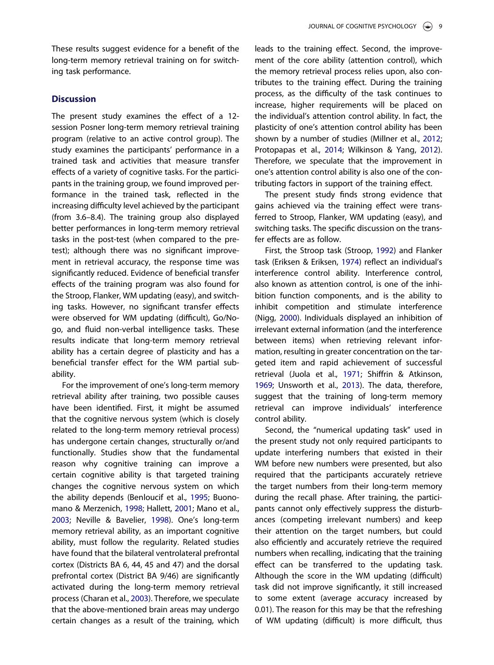These results suggest evidence for a benefit of the long-term memory retrieval training on for switching task performance.

# **Discussion**

The present study examines the effect of a 12 session Posner long-term memory retrieval training program (relative to an active control group). The study examines the participants' performance in a trained task and activities that measure transfer effects of a variety of cognitive tasks. For the participants in the training group, we found improved performance in the trained task, reflected in the increasing difficulty level achieved by the participant (from 3.6–8.4). The training group also displayed better performances in long-term memory retrieval tasks in the post-test (when compared to the pretest); although there was no significant improvement in retrieval accuracy, the response time was significantly reduced. Evidence of beneficial transfer effects of the training program was also found for the Stroop, Flanker, WM updating (easy), and switching tasks. However, no significant transfer effects were observed for WM updating (difficult), Go/Nogo, and fluid non-verbal intelligence tasks. These results indicate that long-term memory retrieval ability has a certain degree of plasticity and has a beneficial transfer effect for the WM partial subability.

For the improvement of one's long-term memory retrieval ability after training, two possible causes have been identified. First, it might be assumed that the cognitive nervous system (which is closely related to the long-term memory retrieval process) has undergone certain changes, structurally or/and functionally. Studies show that the fundamental reason why cognitive training can improve a certain cognitive ability is that targeted training changes the cognitive nervous system on which the ability depends (Benloucif et al., 1995; Buonomano & Merzenich, 1998; Hallett, 2001; Mano et al., 2003; Neville & Bavelier, 1998). One's long-term memory retrieval ability, as an important cognitive ability, must follow the regularity. Related studies have found that the bilateral ventrolateral prefrontal cortex (Districts BA 6, 44, 45 and 47) and the dorsal prefrontal cortex (District BA 9/46) are significantly activated during the long-term memory retrieval process (Charan et al., 2003). Therefore, we speculate that the above-mentioned brain areas may undergo certain changes as a result of the training, which

leads to the training effect. Second, the improvement of the core ability (attention control), which the memory retrieval process relies upon, also contributes to the training effect. During the training process, as the difficulty of the task continues to increase, higher requirements will be placed on the individual's attention control ability. In fact, the plasticity of one's attention control ability has been shown by a number of studies (Millner et al., 2012; Protopapas et al., 2014; Wilkinson & Yang, 2012). Therefore, we speculate that the improvement in one's attention control ability is also one of the contributing factors in support of the training effect.

The present study finds strong evidence that gains achieved via the training effect were transferred to Stroop, Flanker, WM updating (easy), and switching tasks. The specific discussion on the transfer effects are as follow.

First, the Stroop task (Stroop, 1992) and Flanker task (Eriksen & Eriksen, 1974) reflect an individual's interference control ability. Interference control, also known as attention control, is one of the inhibition function components, and is the ability to inhibit competition and stimulate interference (Nigg, 2000). Individuals displayed an inhibition of irrelevant external information (and the interference between items) when retrieving relevant information, resulting in greater concentration on the targeted item and rapid achievement of successful retrieval (Juola et al., 1971; Shiffrin & Atkinson, 1969; Unsworth et al., 2013). The data, therefore, suggest that the training of long-term memory retrieval can improve individuals' interference control ability.

Second, the "numerical updating task" used in the present study not only required participants to update interfering numbers that existed in their WM before new numbers were presented, but also required that the participants accurately retrieve the target numbers from their long-term memory during the recall phase. After training, the participants cannot only effectively suppress the disturbances (competing irrelevant numbers) and keep their attention on the target numbers, but could also efficiently and accurately retrieve the required numbers when recalling, indicating that the training effect can be transferred to the updating task. Although the score in the WM updating (difficult) task did not improve significantly, it still increased to some extent (average accuracy increased by 0.01). The reason for this may be that the refreshing of WM updating (difficult) is more difficult, thus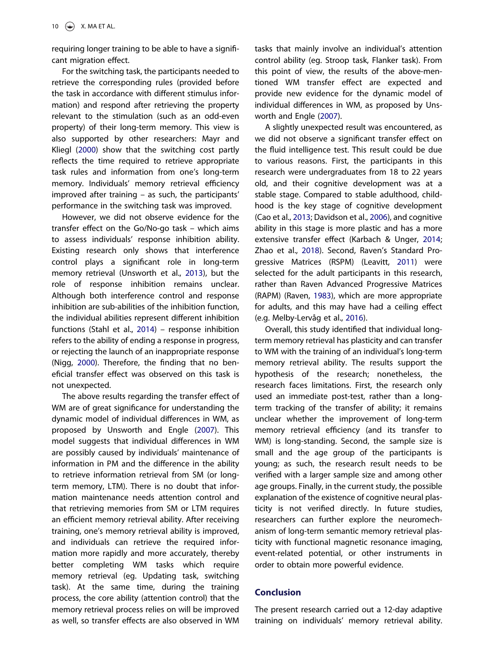requiring longer training to be able to have a significant migration effect.

For the switching task, the participants needed to retrieve the corresponding rules (provided before the task in accordance with different stimulus information) and respond after retrieving the property relevant to the stimulation (such as an odd-even property) of their long-term memory. This view is also supported by other researchers: Mayr and Kliegl (2000) show that the switching cost partly reflects the time required to retrieve appropriate task rules and information from one's long-term memory. Individuals' memory retrieval efficiency improved after training – as such, the participants' performance in the switching task was improved.

However, we did not observe evidence for the transfer effect on the Go/No-go task – which aims to assess individuals' response inhibition ability. Existing research only shows that interference control plays a significant role in long-term memory retrieval (Unsworth et al., 2013), but the role of response inhibition remains unclear. Although both interference control and response inhibition are sub-abilities of the inhibition function, the individual abilities represent different inhibition functions (Stahl et al., 2014) – response inhibition refers to the ability of ending a response in progress, or rejecting the launch of an inappropriate response (Nigg, 2000). Therefore, the finding that no beneficial transfer effect was observed on this task is not unexpected.

The above results regarding the transfer effect of WM are of great significance for understanding the dynamic model of individual differences in WM, as proposed by Unsworth and Engle (2007). This model suggests that individual differences in WM are possibly caused by individuals' maintenance of information in PM and the difference in the ability to retrieve information retrieval from SM (or longterm memory, LTM). There is no doubt that information maintenance needs attention control and that retrieving memories from SM or LTM requires an efficient memory retrieval ability. After receiving training, one's memory retrieval ability is improved, and individuals can retrieve the required information more rapidly and more accurately, thereby better completing WM tasks which require memory retrieval (eg. Updating task, switching task). At the same time, during the training process, the core ability (attention control) that the memory retrieval process relies on will be improved as well, so transfer effects are also observed in WM tasks that mainly involve an individual's attention control ability (eg. Stroop task, Flanker task). From this point of view, the results of the above-mentioned WM transfer effect are expected and provide new evidence for the dynamic model of individual differences in WM, as proposed by Unsworth and Engle (2007).

A slightly unexpected result was encountered, as we did not observe a significant transfer effect on the fluid intelligence test. This result could be due to various reasons. First, the participants in this research were undergraduates from 18 to 22 years old, and their cognitive development was at a stable stage. Compared to stable adulthood, childhood is the key stage of cognitive development (Cao et al., 2013; Davidson et al., 2006), and cognitive ability in this stage is more plastic and has a more extensive transfer effect (Karbach & Unger, 2014; Zhao et al., 2018). Second, Raven's Standard Progressive Matrices (RSPM) (Leavitt, 2011) were selected for the adult participants in this research, rather than Raven Advanced Progressive Matrices (RAPM) (Raven, 1983), which are more appropriate for adults, and this may have had a ceiling effect (e.g. Melby-Lervåg et al., 2016).

Overall, this study identified that individual longterm memory retrieval has plasticity and can transfer to WM with the training of an individual's long-term memory retrieval ability. The results support the hypothesis of the research; nonetheless, the research faces limitations. First, the research only used an immediate post-test, rather than a longterm tracking of the transfer of ability; it remains unclear whether the improvement of long-term memory retrieval efficiency (and its transfer to WM) is long-standing. Second, the sample size is small and the age group of the participants is young; as such, the research result needs to be verified with a larger sample size and among other age groups. Finally, in the current study, the possible explanation of the existence of cognitive neural plasticity is not verified directly. In future studies, researchers can further explore the neuromechanism of long-term semantic memory retrieval plasticity with functional magnetic resonance imaging, event-related potential, or other instruments in order to obtain more powerful evidence.

# Conclusion

The present research carried out a 12-day adaptive training on individuals' memory retrieval ability.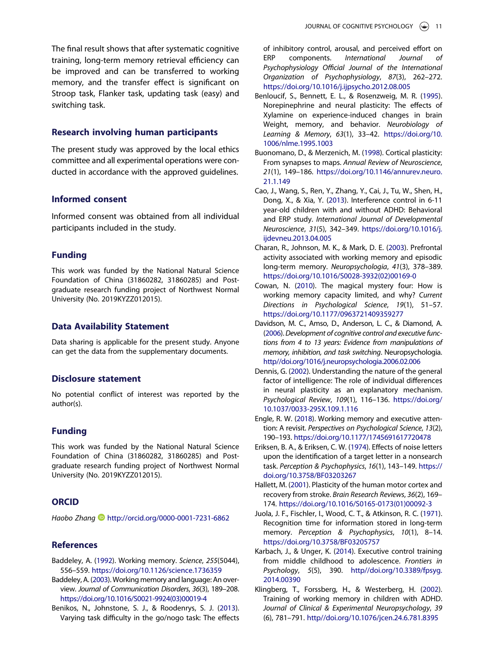The final result shows that after systematic cognitive training, long-term memory retrieval efficiency can be improved and can be transferred to working memory, and the transfer effect is significant on Stroop task, Flanker task, updating task (easy) and switching task.

# Research involving human participants

The present study was approved by the local ethics committee and all experimental operations were conducted in accordance with the approved guidelines.

# Informed consent

Informed consent was obtained from all individual participants included in the study.

#### Funding

This work was funded by the National Natural Science Foundation of China (31860282, 31860285) and Postgraduate research funding project of Northwest Normal University (No. 2019KYZZ012015).

### Data Availability Statement

Data sharing is applicable for the present study. Anyone can get the data from the supplementary documents.

#### Disclosure statement

No potential conflict of interest was reported by the author(s).

# Funding

This work was funded by the National Natural Science Foundation of China (31860282, 31860285) and Postgraduate research funding project of Northwest Normal University (No. 2019KYZZ012015).

# **ORCID**

*Haobo Zhang* http://orcid.org/0000-0001-7231-6862

#### References

- Baddeley, A. (1992). Working memory. *Science*, *255*(5044), 556–559. https://doi.org/10.1126/science.1736359
- Baddeley, A. (2003). Working memory and language: An overview. *Journal of Communication Disorders*, *36*(3), 189–208. https://doi.org/10.1016/S0021-9924(03)00019-4
- Benikos, N., Johnstone, S. J., & Roodenrys, S. J. (2013). Varying task difficulty in the go/nogo task: The effects

of inhibitory control, arousal, and perceived effort on<br>ERP components. International Journal of components. *International Journal of Psychophysiology O*ffi*cial Journal of the International Organization of Psychophysiology*, *87*(3), 262–272. https://doi.org/10.1016/j.ijpsycho.2012.08.005

- Benloucif, S., Bennett, E. L., & Rosenzweig, M. R. (1995). Norepinephrine and neural plasticity: The effects of Xylamine on experience-induced changes in brain Weight, memory, and behavior. *Neurobiology of Learning & Memory*, *63*(1), 33–42. https://doi.org/10. 1006/nlme.1995.1003
- Buonomano, D., & Merzenich, M. (1998). Cortical plasticity: From synapses to maps. *Annual Review of Neuroscience*, *21*(1), 149–186. https://doi.org/10.1146/annurev.neuro. 21.1.149
- Cao, J., Wang, S., Ren, Y., Zhang, Y., Cai, J., Tu, W., Shen, H., Dong, X., & Xia, Y. (2013). Interference control in 6-11 year-old children with and without ADHD: Behavioral and ERP study. *International Journal of Developmental Neuroscience*, *31*(5), 342–349. https://doi.org/10.1016/j. ijdevneu.2013.04.005
- Charan, R., Johnson, M. K., & Mark, D. E. (2003). Prefrontal activity associated with working memory and episodic long-term memory. *Neuropsychologia*, *41*(3), 378–389. https://doi.org/10.1016/S0028-3932(02)00169-0
- Cowan, N. (2010). The magical mystery four: How is working memory capacity limited, and why? *Current Directions in Psychological Science*, *19*(1), 51–57. https://doi.org/10.1177/0963721409359277
- Davidson, M. C., Amso, D., Anderson, L. C., & Diamond, A. (2006). *Development of cognitive control and executive functions from 4 to 13 years: Evidence from manipulations of memory, inhibition, and task switching*. Neuropsychologia. http//doi.org/1016/j.neuropsychologia.2006.02.006
- Dennis, G. (2002). Understanding the nature of the general factor of intelligence: The role of individual differences in neural plasticity as an explanatory mechanism. *Psychological Review*, *109*(1), 116–136. https://doi.org/ 10.1037/0033-295X.109.1.116
- Engle, R. W. (2018). Working memory and executive attention: A revisit. *Perspectives on Psychological Science*, *13*(2), 190–193. https://doi.org/10.1177/1745691617720478
- Eriksen, B. A., & Eriksen, C. W. (1974). Effects of noise letters upon the identification of a target letter in a nonsearch task. *Perception & Psychophysics*, *16*(1), 143–149. https:// doi.org/10.3758/BF03203267
- Hallett, M. (2001). Plasticity of the human motor cortex and recovery from stroke. *Brain Research Reviews*, *36*(2), 169– 174. https://doi.org/10.1016/S0165-0173(01)00092-3
- Juola, J. F., Fischler, I., Wood, C. T., & Atkinson, R. C. (1971). Recognition time for information stored in long-term memory. *Perception & Psychophysics*, *10*(1), 8–14. https://doi.org/10.3758/BF03205757
- Karbach, J., & Unger, K. (2014). Executive control training from middle childhood to adolescence. *Frontiers in Psychology*, *5*(5), 390. http//doi.org/10.3389/fpsyg. 2014.00390
- Klingberg, T., Forssberg, H., & Westerberg, H. (2002). Training of working memory in children with ADHD. *Journal of Clinical & Experimental Neuropsychology*, *39* (6), 781–791. http//doi.org/10.1076/jcen.24.6.781.8395